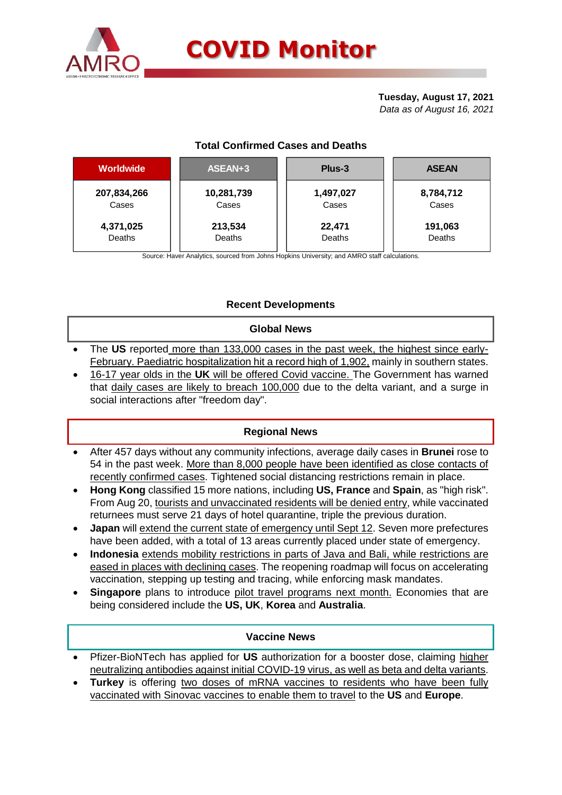

# **Tuesday, August 17, 2021**

*Data as of August 16, 2021*

# **Total Confirmed Cases and Deaths**

| <b>Worldwide</b> | ASEAN+3    | Plus-3    | <b>ASEAN</b> |  |  |
|------------------|------------|-----------|--------------|--|--|
| 207,834,266      | 10,281,739 | 1,497,027 | 8,784,712    |  |  |
| Cases            | Cases      | Cases     | Cases        |  |  |
| 4,371,025        | 213,534    | 22,471    | 191,063      |  |  |
| Deaths           | Deaths     | Deaths    | Deaths       |  |  |

Source: Haver Analytics, sourced from Johns Hopkins University; and AMRO staff calculations.

# **Recent Developments**

#### **Global News**

- The **US** reported more than 133,000 cases in the past week, the highest since early-February. Paediatric hospitalization hit a record high of 1,902, mainly in southern states.
- 16-17 year olds in the **UK** will be offered Covid vaccine. The Government has warned that daily cases are likely to breach 100,000 due to the delta variant, and a surge in social interactions after "freedom day".

# **Regional News**

- After 457 days without any community infections, average daily cases in **Brunei** rose to 54 in the past week. More than 8,000 people have been identified as close contacts of recently confirmed cases. Tightened social distancing restrictions remain in place.
- **Hong Kong** classified 15 more nations, including **US, France** and **Spain**, as "high risk". From Aug 20, tourists and unvaccinated residents will be denied entry, while vaccinated returnees must serve 21 days of hotel quarantine, triple the previous duration.
- **Japan** will extend the current state of emergency until Sept 12. Seven more prefectures have been added, with a total of 13 areas currently placed under state of emergency.
- **Indonesia** extends mobility restrictions in parts of Java and Bali, while restrictions are eased in places with declining cases. The reopening roadmap will focus on accelerating vaccination, stepping up testing and tracing, while enforcing mask mandates.
- **Singapore** plans to introduce pilot travel programs next month. Economies that are being considered include the **US, UK**, **Korea** and **Australia**.

#### **Vaccine News**

- Pfizer-BioNTech has applied for **US** authorization for a booster dose, claiming higher neutralizing antibodies against initial COVID-19 virus, as well as beta and delta variants.
- **Turkey** is offering two doses of mRNA vaccines to residents who have been fully vaccinated with Sinovac vaccines to enable them to travel to the **US** and **Europe**.